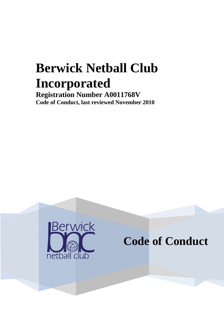# **Berwick Netball Club Incorporated**

**Registration Number A0011768V Code of Conduct, last reviewed November 2010** 



**Code of Conduct**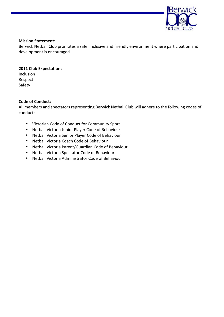

#### **Mission Statement:**

Berwick Netball Club promotes a safe, inclusive and friendly environment where participation and development is encouraged.

## **2011 Club Expectations**

Inclusion Respect Safety

#### **Code of Conduct:**

All members and spectators representing Berwick Netball Club will adhere to the following codes of conduct:

- Victorian Code of Conduct for Community Sport
- Netball Victoria Junior Player Code of Behaviour
- Netball Victoria Senior Player Code of Behaviour
- Netball Victoria Coach Code of Behaviour
- Netball Victoria Parent/Guardian Code of Behaviour
- Netball Victoria Spectator Code of Behaviour
- Netball Victoria Administrator Code of Behaviour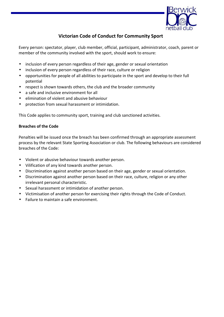

# **Victorian Code of Conduct for Community Sport**

Every person: spectator, player, club member, official, participant, administrator, coach, parent or member of the community involved with the sport, should work to ensure:

- inclusion of every person regardless of their age, gender or sexual orientation
- inclusion of every person regardless of their race, culture or religion
- opportunities for people of all abilities to participate in the sport and develop to their full potential
- respect is shown towards others, the club and the broader community
- a safe and inclusive environment for all
- elimination of violent and abusive behaviour
- protection from sexual harassment or intimidation.

This Code applies to community sport, training and club sanctioned activities.

#### **Breaches of the Code**

Penalties will be issued once the breach has been confirmed through an appropriate assessment process by the relevant State Sporting Association or club. The following behaviours are considered breaches of the Code:

- Violent or abusive behaviour towards another person.
- Vilification of any kind towards another person.
- Discrimination against another person based on their age, gender or sexual orientation.
- Discrimination against another person based on their race, culture, religion or any other irrelevant personal characteristic.
- Sexual harassment or intimidation of another person.
- Victimisation of another person for exercising their rights through the Code of Conduct.
- Failure to maintain a safe environment.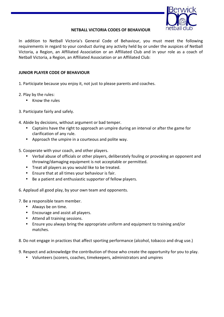

#### **NETBALL VICTORIA CODES OF BEHAVIOUR**

In addition to Netball Victoria's General Code of Behaviour, you must meet the following requirements in regard to your conduct during any activity held by or under the auspices of Netball Victoria, a Region, an Affiliated Association or an Affiliated Club and in your role as a coach of Netball Victoria, a Region, an Affiliated Association or an Affiliated Club:

#### **JUNIOR PLAYER CODE OF BEHAVIOUR**

1. Participate because you enjoy it, not just to please parents and coaches.

- 2. Play by the rules:
	- Know the rules
- 3. Participate fairly and safely.
- 4. Abide by decisions, without argument or bad temper.
	- Captains have the right to approach an umpire during an interval or after the game for clarification of any rule.
	- Approach the umpire in a courteous and polite way.
- 5. Cooperate with your coach, and other players.
	- Verbal abuse of officials or other players, deliberately fouling or provoking an opponent and throwing/damaging equipment is not acceptable or permitted.
	- Treat all players as you would like to be treated.
	- Ensure that at all times your behaviour is fair.
	- Be a patient and enthusiastic supporter of fellow players.
- 6. Applaud all good play, by your own team and opponents.
- 7. Be a responsible team member.
	- Always be on time.
	- Encourage and assist all players.
	- Attend all training sessions.
	- Ensure you always bring the appropriate uniform and equipment to training and/or matches.
- 8. Do not engage in practices that affect sporting performance (alcohol, tobacco and drug use.)
- 9. Respect and acknowledge the contribution of those who create the opportunity for you to play.
	- Volunteers (scorers, coaches, timekeepers, administrators and umpires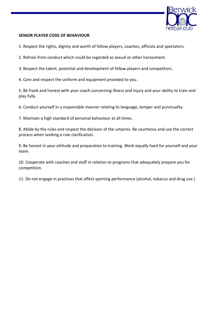

#### **SENIOR PLAYER CODE OF BEHAVIOUR**

1. Respect the rights, dignity and worth of fellow players, coaches, officials and spectators.

2. Refrain from conduct which could be regarded as sexual or other harassment.

3. Respect the talent, potential and development of fellow players and competitors.

4. Care and respect the uniform and equipment provided to you.

5. Be frank and honest with your coach concerning illness and injury and your ability to train and play fully.

6. Conduct yourself in a responsible manner relating to language, temper and punctuality.

7. Maintain a high standard of personal behaviour at all times.

8. Abide by the rules and respect the decision of the umpires. Be courteous and use the correct process when seeking a rule clarification.

9. Be honest in your attitude and preparation to training. Work equally hard for yourself and your team.

10. Cooperate with coaches and staff in relation to programs that adequately prepare you for competition.

11. Do not engage in practises that affect sporting performance (alcohol, tobacco and drug use.)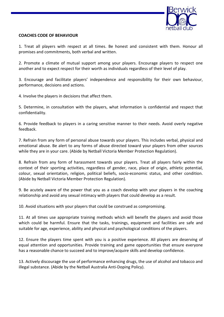

#### **COACHES CODE OF BEHAVIOUR**

1. Treat all players with respect at all times. Be honest and consistent with them. Honour all promises and commitments, both verbal and written.

2. Promote a climate of mutual support among your players. Encourage players to respect one another and to expect respect for their worth as individuals regardless of their level of play.

3. Encourage and facilitate players' independence and responsibility for their own behaviour, performance, decisions and actions.

4. Involve the players in decisions that affect them.

5. Determine, in consultation with the players, what information is confidential and respect that confidentiality.

6. Provide feedback to players in a caring sensitive manner to their needs. Avoid overly negative feedback.

7. Refrain from any form of personal abuse towards your players. This includes verbal, physical and emotional abuse. Be alert to any forms of abuse directed toward your players from other sources while they are in your care. (Abide by Netball Victoria Member Protection Regulation).

8. Refrain from any form of harassment towards your players. Treat all players fairly within the context of their sporting activities, regardless of gender, race, place of origin, athletic potential, colour, sexual orientation, religion, political beliefs, socio-economic status, and other condition. (Abide by Netball Victoria Member Protection Regulation).

9. Be acutely aware of the power that you as a coach develop with your players in the coaching relationship and avoid any sexual intimacy with players that could develop as a result.

10. Avoid situations with your players that could be construed as compromising.

11. At all times use appropriate training methods which will benefit the players and avoid those which could be harmful. Ensure that the tasks, trainings, equipment and facilities are safe and suitable for age, experience, ability and physical and psychological conditions of the players.

12. Ensure the players time spent with you is a positive experience. All players are deserving of equal attention and opportunities. Provide training and game opportunities that ensure everyone has a reasonable chance to succeed and to improve/acquire skills and develop confidence.

13. Actively discourage the use of performance enhancing drugs, the use of alcohol and tobacco and illegal substance. (Abide by the Netball Australia Anti-Doping Policy).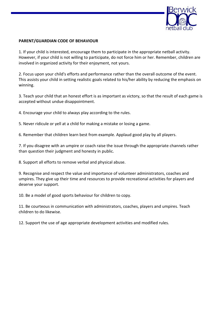

#### **PARENT/GUARDIAN CODE OF BEHAVIOUR**

1. If your child is interested, encourage them to participate in the appropriate netball activity. However, if your child is not willing to participate, do not force him or her. Remember, children are involved in organized activity for their enjoyment, not yours.

2. Focus upon your child's efforts and performance rather than the overall outcome of the event. This assists your child in setting realistic goals related to his/her ability by reducing the emphasis on winning.

3. Teach your child that an honest effort is as important as victory, so that the result of each game is accepted without undue disappointment.

4. Encourage your child to always play according to the rules.

5. Never ridicule or yell at a child for making a mistake or losing a game.

6. Remember that children learn best from example. Applaud good play by all players.

7. If you disagree with an umpire or coach raise the issue through the appropriate channels rather than question their judgment and honesty in public.

8. Support all efforts to remove verbal and physical abuse.

9. Recognise and respect the value and importance of volunteer administrators, coaches and umpires. They give up their time and resources to provide recreational activities for players and deserve your support.

10. Be a model of good sports behaviour for children to copy.

11. Be courteous in communication with administrators, coaches, players and umpires. Teach children to do likewise.

12. Support the use of age appropriate development activities and modified rules.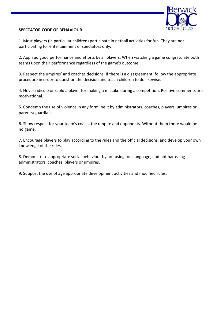

### **SPECTATOR CODE OF BEHAVIOUR**

1. Most players (in particular children) participate in netball activities for fun. They are not participating for entertainment of spectators only.

2. Applaud good performance and efforts by all players. When watching a game congratulate both teams upon their performance regardless of the game's outcome.

3. Respect the umpires' and coaches decisions. If there is a disagreement, follow the appropriate procedure in order to question the decision and teach children to do likewise.

4. Never ridicule or scold a player for making a mistake during a competition. Positive comments are motivational.

5. Condemn the use of violence in any form, be it by administrators, coaches, players, umpires or parents/guardians.

6. Show respect for your team's coach, the umpire and opponents. Without them there would be no game.

7. Encourage players to play according to the rules and the official decisions, and develop your own knowledge of the rules.

8. Demonstrate appropriate social behaviour by not using foul language, and not harassing administrators, coaches, players or umpires.

9. Support the use of age appropriate development activities and modified rules.